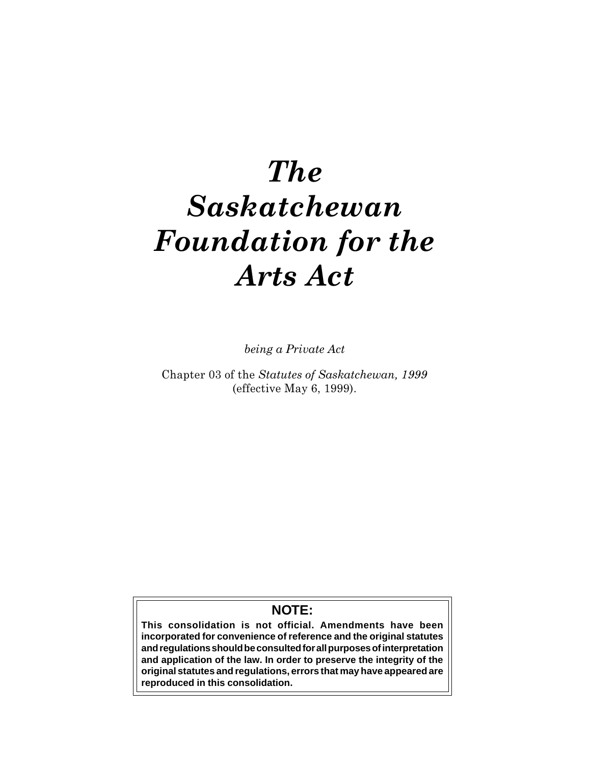# The Saskatchewan Foundation for the Arts Act

being a Private Act

Chapter 03 of the Statutes of Saskatchewan, 1999 (effective May 6, 1999).

# **NOTE:**

**This consolidation is not official. Amendments have been incorporated for convenience of reference and the original statutes and regulations should be consulted for all purposes of interpretation and application of the law. In order to preserve the integrity of the original statutes and regulations, errors that may have appeared are reproduced in this consolidation.**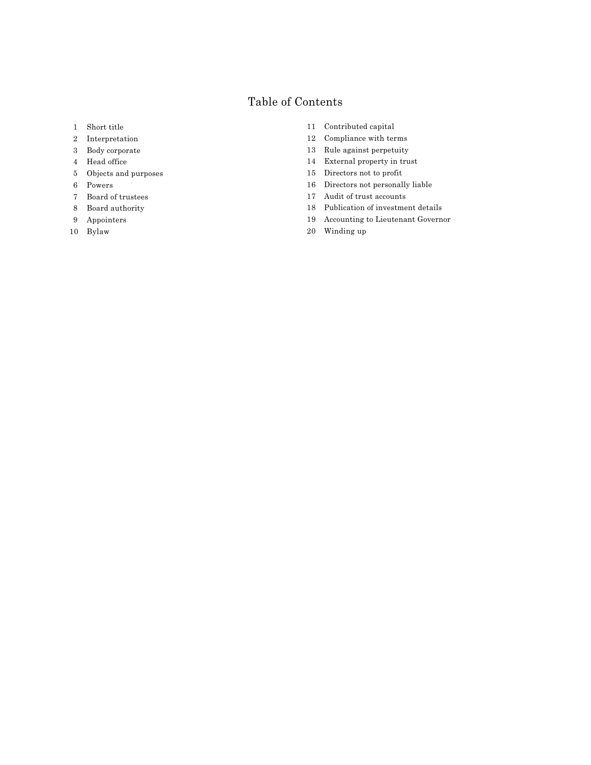## Table of Contents

- 1 Short title
- 2 Interpretation
- 3 Body corporate
- 4 Head office
- 5 Objects and purposes
- 6 Powers
- 7 Board of trustees
- 8 Board authority
- 9 Appointers
- 10 Bylaw
- 11 Contributed capital
- 12 Compliance with terms
- 13 Rule against perpetuity
- 14 External property in trust
- 15 Directors not to profit
- 16 Directors not personally liable
- 17 Audit of trust accounts
- 18 Publication of investment details
- 19 Accounting to Lieutenant Governor
- 20 Winding up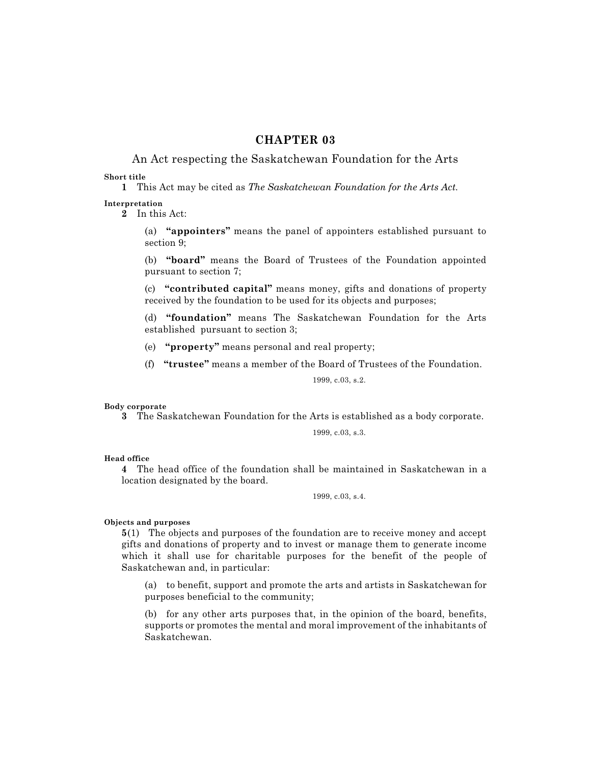### CHAPTER 03

# An Act respecting the Saskatchewan Foundation for the Arts

#### Short title

1 This Act may be cited as The Saskatchewan Foundation for the Arts Act.

#### Interpretation

2 In this Act:

(a) "appointers" means the panel of appointers established pursuant to section 9;

(b) "board" means the Board of Trustees of the Foundation appointed pursuant to section 7;

 $(c)$  "contributed capital" means money, gifts and donations of property received by the foundation to be used for its objects and purposes;

(d) "foundation" means The Saskatchewan Foundation for the Arts established pursuant to section 3;

(e) "property" means personal and real property;

(f) " $true$ " means a member of the Board of Trustees of the Foundation.

1999, c.03, s.2.

#### Body corporate

3 The Saskatchewan Foundation for the Arts is established as a body corporate.

1999, c.03, s.3.

#### Head office

4 The head office of the foundation shall be maintained in Saskatchewan in a location designated by the board.

1999, c.03, s.4.

#### Objects and purposes

5(1) The objects and purposes of the foundation are to receive money and accept gifts and donations of property and to invest or manage them to generate income which it shall use for charitable purposes for the benefit of the people of Saskatchewan and, in particular:

(a) to benefit, support and promote the arts and artists in Saskatchewan for purposes beneficial to the community;

(b) for any other arts purposes that, in the opinion of the board, benefits, supports or promotes the mental and moral improvement of the inhabitants of Saskatchewan.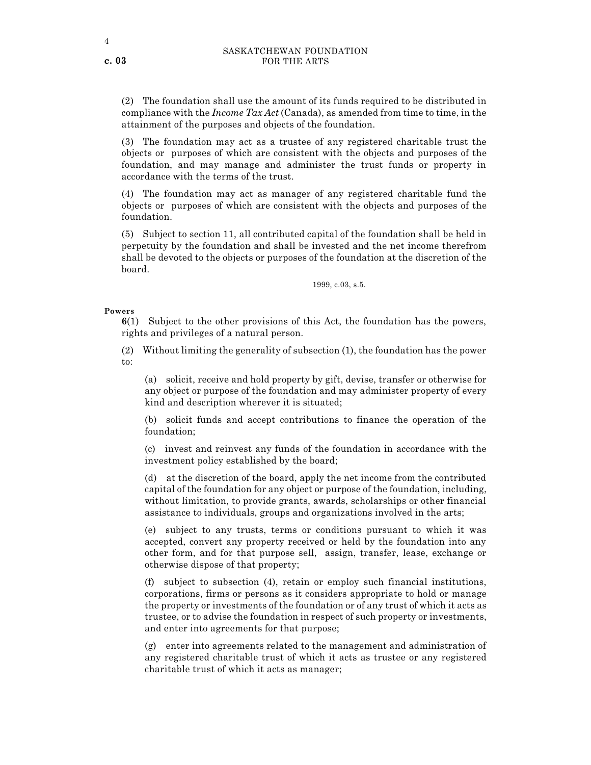(2) The foundation shall use the amount of its funds required to be distributed in compliance with the *Income Tax Act* (Canada), as amended from time to time, in the attainment of the purposes and objects of the foundation.

(3) The foundation may act as a trustee of any registered charitable trust the objects or purposes of which are consistent with the objects and purposes of the foundation, and may manage and administer the trust funds or property in accordance with the terms of the trust.

(4) The foundation may act as manager of any registered charitable fund the objects or purposes of which are consistent with the objects and purposes of the foundation.

(5) Subject to section 11, all contributed capital of the foundation shall be held in perpetuity by the foundation and shall be invested and the net income therefrom shall be devoted to the objects or purposes of the foundation at the discretion of the board.

1999, c.03, s.5.

#### Powers

6(1) Subject to the other provisions of this Act, the foundation has the powers, rights and privileges of a natural person.

(2) Without limiting the generality of subsection (1), the foundation has the power to:

(a) solicit, receive and hold property by gift, devise, transfer or otherwise for any object or purpose of the foundation and may administer property of every kind and description wherever it is situated;

(b) solicit funds and accept contributions to finance the operation of the foundation;

(c) invest and reinvest any funds of the foundation in accordance with the investment policy established by the board;

(d) at the discretion of the board, apply the net income from the contributed capital of the foundation for any object or purpose of the foundation, including, without limitation, to provide grants, awards, scholarships or other financial assistance to individuals, groups and organizations involved in the arts;

(e) subject to any trusts, terms or conditions pursuant to which it was accepted, convert any property received or held by the foundation into any other form, and for that purpose sell, assign, transfer, lease, exchange or otherwise dispose of that property;

(f) subject to subsection (4), retain or employ such financial institutions, corporations, firms or persons as it considers appropriate to hold or manage the property or investments of the foundation or of any trust of which it acts as trustee, or to advise the foundation in respect of such property or investments, and enter into agreements for that purpose;

(g) enter into agreements related to the management and administration of any registered charitable trust of which it acts as trustee or any registered charitable trust of which it acts as manager;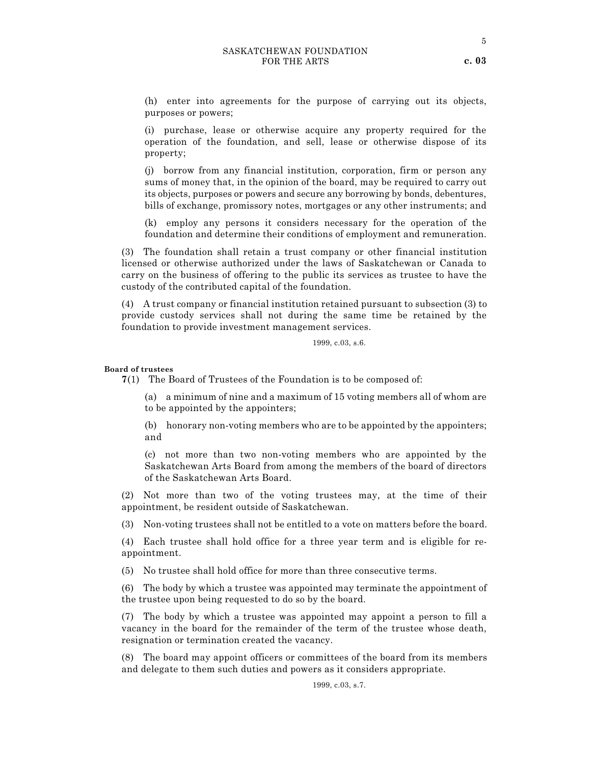(h) enter into agreements for the purpose of carrying out its objects, purposes or powers;

(i) purchase, lease or otherwise acquire any property required for the operation of the foundation, and sell, lease or otherwise dispose of its property;

(j) borrow from any financial institution, corporation, firm or person any sums of money that, in the opinion of the board, may be required to carry out its objects, purposes or powers and secure any borrowing by bonds, debentures, bills of exchange, promissory notes, mortgages or any other instruments; and

(k) employ any persons it considers necessary for the operation of the foundation and determine their conditions of employment and remuneration.

(3) The foundation shall retain a trust company or other financial institution licensed or otherwise authorized under the laws of Saskatchewan or Canada to carry on the business of offering to the public its services as trustee to have the custody of the contributed capital of the foundation.

(4) A trust company or financial institution retained pursuant to subsection (3) to provide custody services shall not during the same time be retained by the foundation to provide investment management services.

1999, c.03, s.6.

#### Board of trustees

7(1) The Board of Trustees of the Foundation is to be composed of:

(a) a minimum of nine and a maximum of 15 voting members all of whom are to be appointed by the appointers;

(b) honorary non-voting members who are to be appointed by the appointers; and

(c) not more than two non-voting members who are appointed by the Saskatchewan Arts Board from among the members of the board of directors of the Saskatchewan Arts Board.

(2) Not more than two of the voting trustees may, at the time of their appointment, be resident outside of Saskatchewan.

(3) Non-voting trustees shall not be entitled to a vote on matters before the board.

(4) Each trustee shall hold office for a three year term and is eligible for reappointment.

(5) No trustee shall hold office for more than three consecutive terms.

(6) The body by which a trustee was appointed may terminate the appointment of the trustee upon being requested to do so by the board.

(7) The body by which a trustee was appointed may appoint a person to fill a vacancy in the board for the remainder of the term of the trustee whose death, resignation or termination created the vacancy.

(8) The board may appoint officers or committees of the board from its members and delegate to them such duties and powers as it considers appropriate.

1999, c.03, s.7.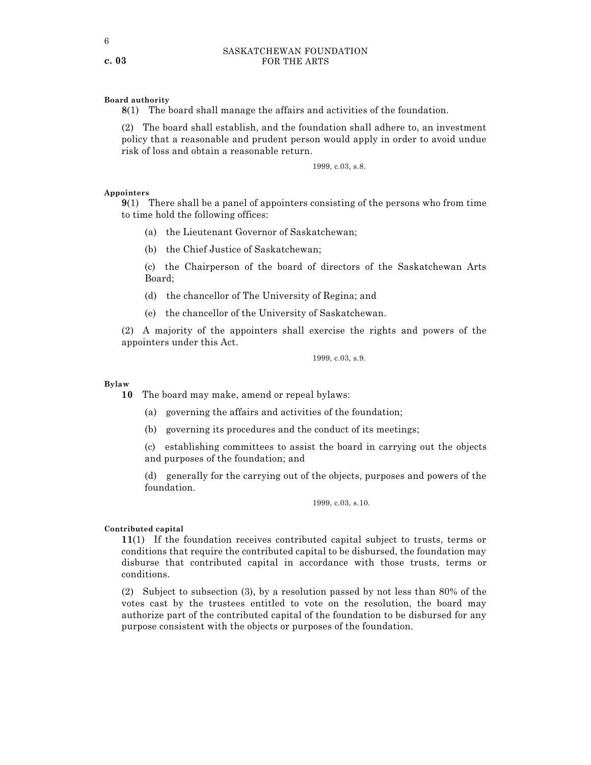#### Board authority

8(1) The board shall manage the affairs and activities of the foundation.

(2) The board shall establish, and the foundation shall adhere to, an investment policy that a reasonable and prudent person would apply in order to avoid undue risk of loss and obtain a reasonable return.

1999, c.03, s.8.

#### Appointers

9(1) There shall be a panel of appointers consisting of the persons who from time to time hold the following offices:

- (a) the Lieutenant Governor of Saskatchewan;
- (b) the Chief Justice of Saskatchewan;

(c) the Chairperson of the board of directors of the Saskatchewan Arts Board;

- (d) the chancellor of The University of Regina; and
- (e) the chancellor of the University of Saskatchewan.

(2) A majority of the appointers shall exercise the rights and powers of the appointers under this Act.

1999, c.03, s.9.

#### Bylaw

10 The board may make, amend or repeal bylaws:

- (a) governing the affairs and activities of the foundation;
- (b) governing its procedures and the conduct of its meetings;

(c) establishing committees to assist the board in carrying out the objects and purposes of the foundation; and

(d) generally for the carrying out of the objects, purposes and powers of the foundation.

1999, c.03, s.10.

#### Contributed capital

11(1) If the foundation receives contributed capital subject to trusts, terms or conditions that require the contributed capital to be disbursed, the foundation may disburse that contributed capital in accordance with those trusts, terms or conditions.

(2) Subject to subsection (3), by a resolution passed by not less than 80% of the votes cast by the trustees entitled to vote on the resolution, the board may authorize part of the contributed capital of the foundation to be disbursed for any purpose consistent with the objects or purposes of the foundation.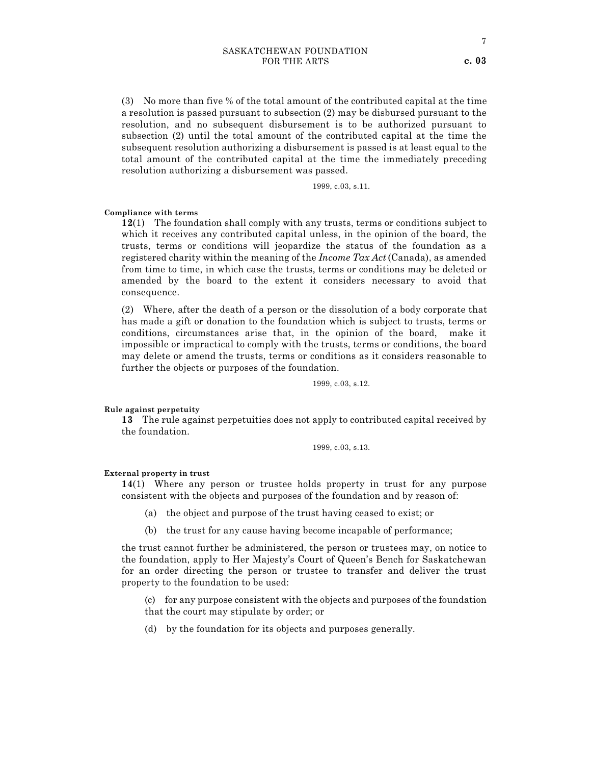(3) No more than five % of the total amount of the contributed capital at the time a resolution is passed pursuant to subsection (2) may be disbursed pursuant to the resolution, and no subsequent disbursement is to be authorized pursuant to subsection (2) until the total amount of the contributed capital at the time the subsequent resolution authorizing a disbursement is passed is at least equal to the total amount of the contributed capital at the time the immediately preceding resolution authorizing a disbursement was passed.

1999, c.03, s.11.

#### Compliance with terms

12(1) The foundation shall comply with any trusts, terms or conditions subject to which it receives any contributed capital unless, in the opinion of the board, the trusts, terms or conditions will jeopardize the status of the foundation as a registered charity within the meaning of the *Income Tax Act* (Canada), as amended from time to time, in which case the trusts, terms or conditions may be deleted or amended by the board to the extent it considers necessary to avoid that consequence.

(2) Where, after the death of a person or the dissolution of a body corporate that has made a gift or donation to the foundation which is subject to trusts, terms or conditions, circumstances arise that, in the opinion of the board, make it impossible or impractical to comply with the trusts, terms or conditions, the board may delete or amend the trusts, terms or conditions as it considers reasonable to further the objects or purposes of the foundation.

1999, c.03, s.12.

#### Rule against perpetuity

13 The rule against perpetuities does not apply to contributed capital received by the foundation.

1999, c.03, s.13.

#### External property in trust

14(1) Where any person or trustee holds property in trust for any purpose consistent with the objects and purposes of the foundation and by reason of:

- (a) the object and purpose of the trust having ceased to exist; or
- (b) the trust for any cause having become incapable of performance;

the trust cannot further be administered, the person or trustees may, on notice to the foundation, apply to Her Majesty's Court of Queen's Bench for Saskatchewan for an order directing the person or trustee to transfer and deliver the trust property to the foundation to be used:

(c) for any purpose consistent with the objects and purposes of the foundation that the court may stipulate by order; or

(d) by the foundation for its objects and purposes generally.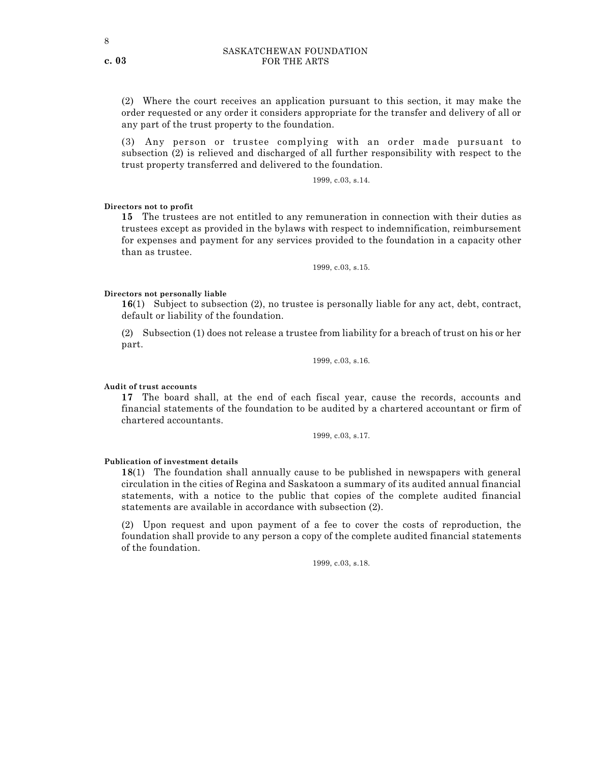(2) Where the court receives an application pursuant to this section, it may make the order requested or any order it considers appropriate for the transfer and delivery of all or any part of the trust property to the foundation.

(3) Any person or trustee complying with an order made pursuant to subsection (2) is relieved and discharged of all further responsibility with respect to the trust property transferred and delivered to the foundation.

1999, c.03, s.14.

Directors not to profit

15 The trustees are not entitled to any remuneration in connection with their duties as trustees except as provided in the bylaws with respect to indemnification, reimbursement for expenses and payment for any services provided to the foundation in a capacity other than as trustee.

1999, c.03, s.15.

#### Directors not personally liable

16(1) Subject to subsection (2), no trustee is personally liable for any act, debt, contract, default or liability of the foundation.

(2) Subsection (1) does not release a trustee from liability for a breach of trust on his or her part.

1999, c.03, s.16.

Audit of trust accounts

17 The board shall, at the end of each fiscal year, cause the records, accounts and financial statements of the foundation to be audited by a chartered accountant or firm of chartered accountants.

1999, c.03, s.17.

#### Publication of investment details

18(1) The foundation shall annually cause to be published in newspapers with general circulation in the cities of Regina and Saskatoon a summary of its audited annual financial statements, with a notice to the public that copies of the complete audited financial statements are available in accordance with subsection (2).

(2) Upon request and upon payment of a fee to cover the costs of reproduction, the foundation shall provide to any person a copy of the complete audited financial statements of the foundation.

1999, c.03, s.18.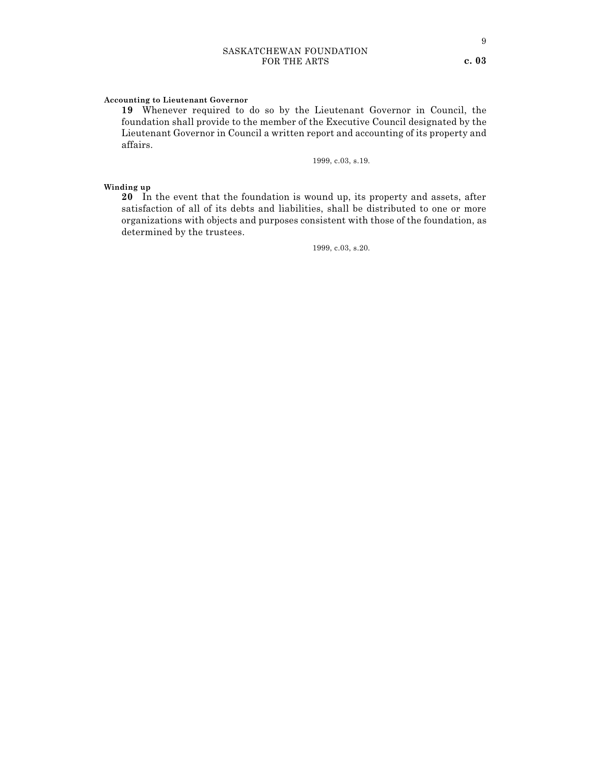#### Accounting to Lieutenant Governor

19 Whenever required to do so by the Lieutenant Governor in Council, the foundation shall provide to the member of the Executive Council designated by the Lieutenant Governor in Council a written report and accounting of its property and affairs.

1999, c.03, s.19.

#### Winding up

20 In the event that the foundation is wound up, its property and assets, after satisfaction of all of its debts and liabilities, shall be distributed to one or more organizations with objects and purposes consistent with those of the foundation, as determined by the trustees.

1999, c.03, s.20.